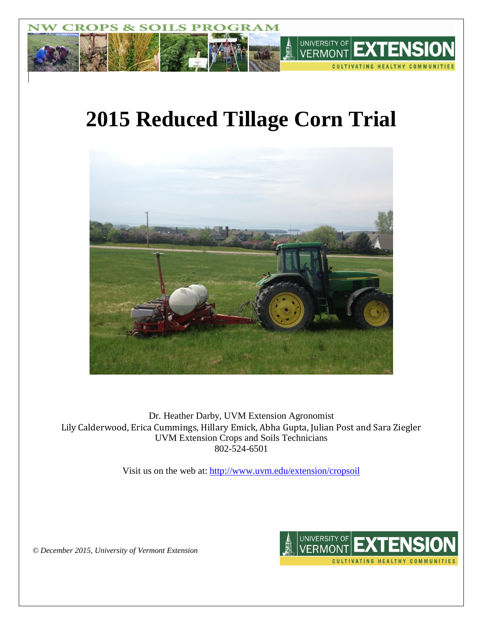

# **2015 Reduced Tillage Corn Trial**



Dr. Heather Darby, UVM Extension Agronomist Lily Calderwood, Erica Cummings, Hillary Emick, Abha Gupta, Julian Post and Sara Ziegler UVM Extension Crops and Soils Technicians 802-524-6501

Visit us on the web at: <http://www.uvm.edu/extension/cropsoil>



*© December 2015, University of Vermont Extension*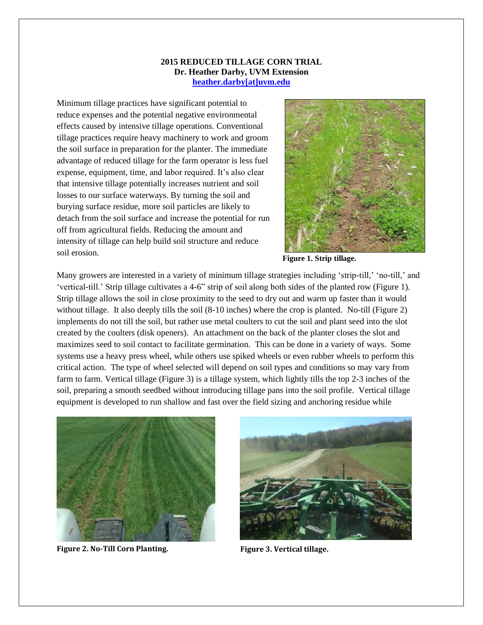#### **2015 REDUCED TILLAGE CORN TRIAL Dr. Heather Darby, UVM Extension [heather.darby\[at\]uvm.edu](mailto:heather.darby@uvm.edu)**

Minimum tillage practices have significant potential to reduce expenses and the potential negative environmental effects caused by intensive tillage operations. Conventional tillage practices require heavy machinery to work and groom the soil surface in preparation for the planter. The immediate advantage of reduced tillage for the farm operator is less fuel expense, equipment, time, and labor required. It's also clear that intensive tillage potentially increases nutrient and soil losses to our surface waterways. By turning the soil and burying surface residue, more soil particles are likely to detach from the soil surface and increase the potential for run off from agricultural fields. Reducing the amount and intensity of tillage can help build soil structure and reduce soil erosion.



**Figure 1. Strip tillage.**

Many growers are interested in a variety of minimum tillage strategies including 'strip-till,' 'no-till,' and 'vertical-till.' Strip tillage cultivates a 4-6" strip of soil along both sides of the planted row (Figure 1). Strip tillage allows the soil in close proximity to the seed to dry out and warm up faster than it would without tillage. It also deeply tills the soil  $(8-10$  inches) where the crop is planted. No-till (Figure 2) implements do not till the soil, but rather use metal coulters to cut the soil and plant seed into the slot created by the coulters (disk openers). An attachment on the back of the planter closes the slot and maximizes seed to soil contact to facilitate germination. This can be done in a variety of ways. Some systems use a heavy press wheel, while others use spiked wheels or even rubber wheels to perform this critical action. The type of wheel selected will depend on soil types and conditions so may vary from farm to farm. Vertical tillage (Figure 3) is a tillage system, which lightly tills the top 2-3 inches of the soil, preparing a smooth seedbed without introducing tillage pans into the soil profile. Vertical tillage equipment is developed to run shallow and fast over the field sizing and anchoring residue while



**Figure 2. No-Till Corn Planting. Figure 3. Vertical tillage.**

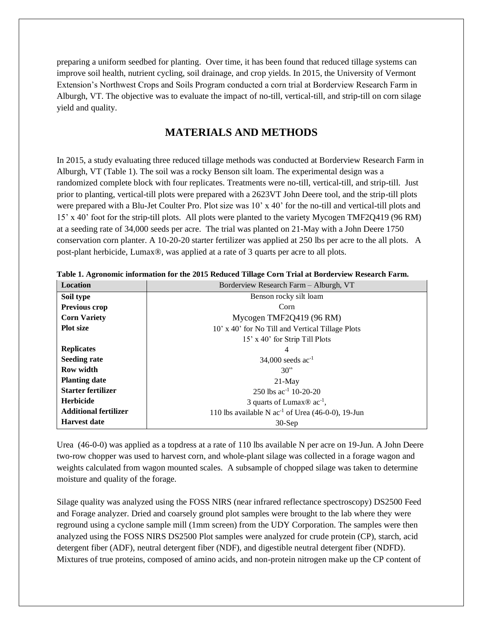preparing a uniform seedbed for planting. Over time, it has been found that reduced tillage systems can improve soil health, nutrient cycling, soil drainage, and crop yields. In 2015, the University of Vermont Extension's Northwest Crops and Soils Program conducted a corn trial at Borderview Research Farm in Alburgh, VT. The objective was to evaluate the impact of no-till, vertical-till, and strip-till on corn silage yield and quality.

### **MATERIALS AND METHODS**

In 2015, a study evaluating three reduced tillage methods was conducted at Borderview Research Farm in Alburgh, VT (Table 1). The soil was a rocky Benson silt loam. The experimental design was a randomized complete block with four replicates. Treatments were no-till, vertical-till, and strip-till. Just prior to planting, vertical-till plots were prepared with a 2623VT John Deere tool, and the strip-till plots were prepared with a Blu-Jet Coulter Pro. Plot size was 10' x 40' for the no-till and vertical-till plots and 15' x 40' foot for the strip-till plots. All plots were planted to the variety Mycogen TMF2Q419 (96 RM) at a seeding rate of 34,000 seeds per acre. The trial was planted on 21-May with a John Deere 1750 conservation corn planter. A 10-20-20 starter fertilizer was applied at 250 lbs per acre to the all plots. A post-plant herbicide, Lumax®, was applied at a rate of 3 quarts per acre to all plots.

| Location                     | Borderview Research Farm - Alburgh, VT                 |  |  |  |  |  |  |
|------------------------------|--------------------------------------------------------|--|--|--|--|--|--|
| Soil type                    | Benson rocky silt loam                                 |  |  |  |  |  |  |
| Previous crop                | Corn                                                   |  |  |  |  |  |  |
| <b>Corn Variety</b>          | Mycogen TMF2Q419 (96 RM)                               |  |  |  |  |  |  |
| <b>Plot size</b>             | 10' x 40' for No Till and Vertical Tillage Plots       |  |  |  |  |  |  |
|                              | 15' x 40' for Strip Till Plots                         |  |  |  |  |  |  |
| <b>Replicates</b>            | 4                                                      |  |  |  |  |  |  |
| <b>Seeding rate</b>          | 34,000 seeds $ac^{-1}$                                 |  |  |  |  |  |  |
| <b>Row width</b>             | 30"                                                    |  |  |  |  |  |  |
| <b>Planting date</b>         | $21$ -May                                              |  |  |  |  |  |  |
| Starter fertilizer           | 250 lbs $ac^{-1}$ 10-20-20                             |  |  |  |  |  |  |
| <b>Herbicide</b>             | 3 quarts of Lumax $\mathbb{R}$ ac <sup>-1</sup> ,      |  |  |  |  |  |  |
| <b>Additional fertilizer</b> | 110 lbs available N $ac^{-1}$ of Urea (46-0-0), 19-Jun |  |  |  |  |  |  |
| <b>Harvest date</b>          | $30-Sep$                                               |  |  |  |  |  |  |

**Table 1. Agronomic information for the 2015 Reduced Tillage Corn Trial at Borderview Research Farm.**

Urea (46-0-0) was applied as a topdress at a rate of 110 lbs available N per acre on 19-Jun. A John Deere two-row chopper was used to harvest corn, and whole-plant silage was collected in a forage wagon and weights calculated from wagon mounted scales. A subsample of chopped silage was taken to determine moisture and quality of the forage.

Silage quality was analyzed using the FOSS NIRS (near infrared reflectance spectroscopy) DS2500 Feed and Forage analyzer. Dried and coarsely ground plot samples were brought to the lab where they were reground using a cyclone sample mill (1mm screen) from the UDY Corporation. The samples were then analyzed using the FOSS NIRS DS2500 Plot samples were analyzed for crude protein (CP), starch, acid detergent fiber (ADF), neutral detergent fiber (NDF), and digestible neutral detergent fiber (NDFD). Mixtures of true proteins, composed of amino acids, and non-protein nitrogen make up the CP content of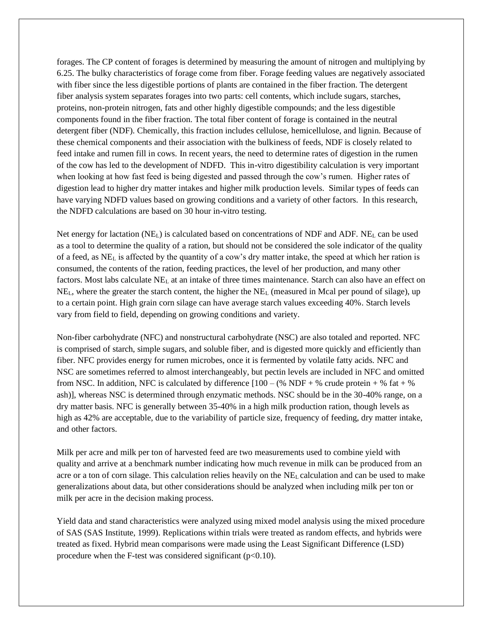forages. The CP content of forages is determined by measuring the amount of nitrogen and multiplying by 6.25. The bulky characteristics of forage come from fiber. Forage feeding values are negatively associated with fiber since the less digestible portions of plants are contained in the fiber fraction. The detergent fiber analysis system separates forages into two parts: cell contents, which include sugars, starches, proteins, non-protein nitrogen, fats and other highly digestible compounds; and the less digestible components found in the fiber fraction. The total fiber content of forage is contained in the neutral detergent fiber (NDF). Chemically, this fraction includes cellulose, hemicellulose, and lignin. Because of these chemical components and their association with the bulkiness of feeds, NDF is closely related to feed intake and rumen fill in cows. In recent years, the need to determine rates of digestion in the rumen of the cow has led to the development of NDFD. This in-vitro digestibility calculation is very important when looking at how fast feed is being digested and passed through the cow's rumen. Higher rates of digestion lead to higher dry matter intakes and higher milk production levels. Similar types of feeds can have varying NDFD values based on growing conditions and a variety of other factors. In this research, the NDFD calculations are based on 30 hour in-vitro testing.

Net energy for lactation (NEL) is calculated based on concentrations of NDF and ADF. NE<sup>L</sup> can be used as a tool to determine the quality of a ration, but should not be considered the sole indicator of the quality of a feed, as NE<sup>L</sup> is affected by the quantity of a cow's dry matter intake, the speed at which her ration is consumed, the contents of the ration, feeding practices, the level of her production, and many other factors. Most labs calculate NE<sup>L</sup> at an intake of three times maintenance. Starch can also have an effect on  $NE<sub>L</sub>$ , where the greater the starch content, the higher the  $NE<sub>L</sub>$  (measured in Mcal per pound of silage), up to a certain point. High grain corn silage can have average starch values exceeding 40%. Starch levels vary from field to field, depending on growing conditions and variety.

Non-fiber carbohydrate (NFC) and nonstructural carbohydrate (NSC) are also totaled and reported. NFC is comprised of starch, simple sugars, and soluble fiber, and is digested more quickly and efficiently than fiber. NFC provides energy for rumen microbes, once it is fermented by volatile fatty acids. NFC and NSC are sometimes referred to almost interchangeably, but pectin levels are included in NFC and omitted from NSC. In addition, NFC is calculated by difference  $[100 - (\% \text{ NDF} + \% \text{ crude protein} + \% \text{ fat} + \% \text{ m})]$ ash)], whereas NSC is determined through enzymatic methods. NSC should be in the 30-40% range, on a dry matter basis. NFC is generally between 35-40% in a high milk production ration, though levels as high as 42% are acceptable, due to the variability of particle size, frequency of feeding, dry matter intake, and other factors.

Milk per acre and milk per ton of harvested feed are two measurements used to combine yield with quality and arrive at a benchmark number indicating how much revenue in milk can be produced from an acre or a ton of corn silage. This calculation relies heavily on the NE<sup>L</sup> calculation and can be used to make generalizations about data, but other considerations should be analyzed when including milk per ton or milk per acre in the decision making process.

Yield data and stand characteristics were analyzed using mixed model analysis using the mixed procedure of SAS (SAS Institute, 1999). Replications within trials were treated as random effects, and hybrids were treated as fixed. Hybrid mean comparisons were made using the Least Significant Difference (LSD) procedure when the F-test was considered significant  $(p<0.10)$ .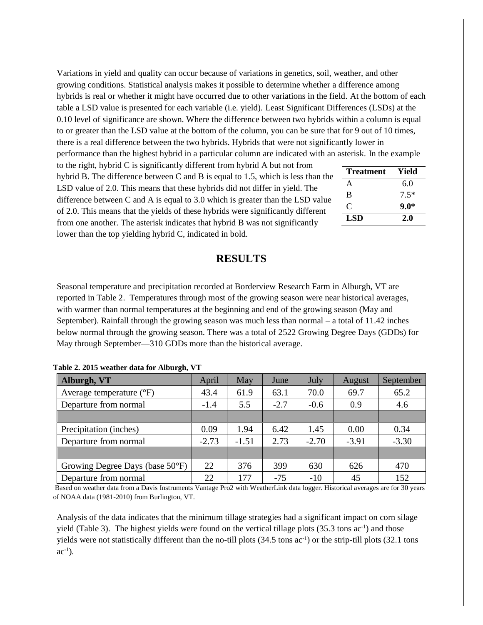Variations in yield and quality can occur because of variations in genetics, soil, weather, and other growing conditions. Statistical analysis makes it possible to determine whether a difference among hybrids is real or whether it might have occurred due to other variations in the field. At the bottom of each table a LSD value is presented for each variable (i.e. yield). Least Significant Differences (LSDs) at the 0.10 level of significance are shown. Where the difference between two hybrids within a column is equal to or greater than the LSD value at the bottom of the column, you can be sure that for 9 out of 10 times, there is a real difference between the two hybrids. Hybrids that were not significantly lower in

performance than the highest hybrid in a particular column are indicated with an asterisk. In the example to the right, hybrid C is significantly different from hybrid A but not from

hybrid B. The difference between C and B is equal to 1.5, which is less than the LSD value of 2.0. This means that these hybrids did not differ in yield. The difference between C and A is equal to 3.0 which is greater than the LSD value of 2.0. This means that the yields of these hybrids were significantly different from one another. The asterisk indicates that hybrid B was not significantly lower than the top yielding hybrid C, indicated in bold.

| <b>Treatment</b> | Yield  |  |  |  |
|------------------|--------|--|--|--|
| A                | 6.0    |  |  |  |
| B                | $7.5*$ |  |  |  |
| $\mathcal{C}$    | $9.0*$ |  |  |  |
| LSD              | 2.0    |  |  |  |

### **RESULTS**

Seasonal temperature and precipitation recorded at Borderview Research Farm in Alburgh, VT are reported in Table 2. Temperatures through most of the growing season were near historical averages, with warmer than normal temperatures at the beginning and end of the growing season (May and September). Rainfall through the growing season was much less than normal – a total of 11.42 inches below normal through the growing season. There was a total of 2522 Growing Degree Days (GDDs) for May through September—310 GDDs more than the historical average.

| Alburgh, VT                               | April   | May     | June   | <b>July</b> | August  | September |
|-------------------------------------------|---------|---------|--------|-------------|---------|-----------|
| Average temperature $(^{\circ}F)$         | 43.4    | 61.9    | 63.1   | 70.0        | 69.7    | 65.2      |
| Departure from normal                     | $-1.4$  | 5.5     | $-2.7$ | $-0.6$      | 0.9     | 4.6       |
|                                           |         |         |        |             |         |           |
| Precipitation (inches)                    | 0.09    | 1.94    | 6.42   | 1.45        | 0.00    | 0.34      |
| Departure from normal                     | $-2.73$ | $-1.51$ | 2.73   | $-2.70$     | $-3.91$ | $-3.30$   |
|                                           |         |         |        |             |         |           |
| Growing Degree Days (base $50^{\circ}$ F) | 22      | 376     | 399    | 630         | 626     | 470       |
| Departure from normal                     | 22      | 177     | $-75$  | $-10$       | 45      | 152       |

#### **Table 2. 2015 weather data for Alburgh, VT**

Based on weather data from a Davis Instruments Vantage Pro2 with WeatherLink data logger. Historical averages are for 30 years of NOAA data (1981-2010) from Burlington, VT.

Analysis of the data indicates that the minimum tillage strategies had a significant impact on corn silage yield (Table 3). The highest yields were found on the vertical tillage plots  $(35.3 \text{ tons } ac^{-1})$  and those yields were not statistically different than the no-till plots (34.5 tons ac<sup>-1</sup>) or the strip-till plots (32.1 tons  $ac^{-1}$ ).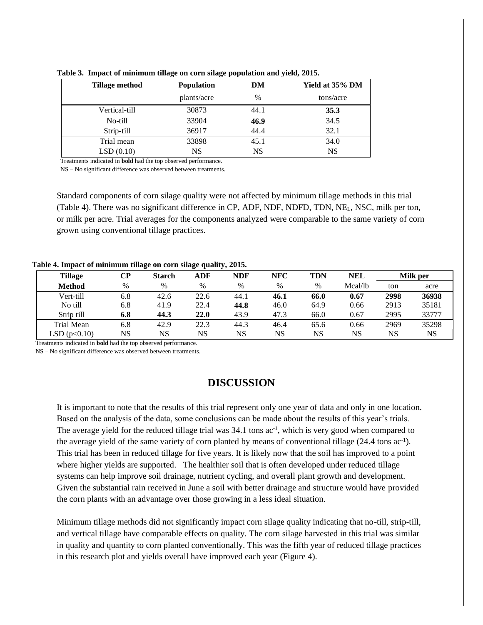| Tillage method | <b>Population</b> | DM   | Yield at 35% DM |  |  |
|----------------|-------------------|------|-----------------|--|--|
|                | plants/acre       | $\%$ | tons/acre       |  |  |
| Vertical-till  | 30873             | 44.1 | 35.3            |  |  |
| No-till        | 33904             | 46.9 | 34.5            |  |  |
| Strip-till     | 36917             | 44.4 | 32.1            |  |  |
| Trial mean     | 33898             | 45.1 | 34.0            |  |  |
| LSD(0.10)      | <b>NS</b>         | NS   | <b>NS</b>       |  |  |

**Table 3. Impact of minimum tillage on corn silage population and yield, 2015.**

Treatments indicated in **bold** had the top observed performance.

NS – No significant difference was observed between treatments.

Standard components of corn silage quality were not affected by minimum tillage methods in this trial (Table 4). There was no significant difference in CP, ADF, NDF, NDFD, TDN, NEL, NSC, milk per ton, or milk per acre. Trial averages for the components analyzed were comparable to the same variety of corn grown using conventional tillage practices.

**Table 4. Impact of minimum tillage on corn silage quality, 2015.**

| <b>Tillage</b> | CР   | <b>Starch</b> | ADF  | <b>NDF</b> | NFC  | <b>TDN</b> | <b>NEL</b> | Milk per |       |
|----------------|------|---------------|------|------------|------|------------|------------|----------|-------|
| <b>Method</b>  | $\%$ | %             | $\%$ | %          | $\%$ | $\%$       | Mcal/lb    | ton      | acre  |
| Vert-till      | 6.8  | 42.6          | 22.6 | 44.1       | 46.1 | 66.0       | 0.67       | 2998     | 36938 |
| No till        | 6.8  | 41.9          | 22.4 | 44.8       | 46.0 | 64.9       | 0.66       | 2913     | 35181 |
| Strip till     | 6.8  | 44.3          | 22.0 | 43.9       | 47.3 | 66.0       | 0.67       | 2995     | 33777 |
| Trial Mean     | 6.8  | 42.9          | 22.3 | 44.3       | 46.4 | 65.6       | 0.66       | 2969     | 35298 |
| LSD(p<0.10)    | NS   | NS            | NS   | NS         | NS   | NS         | NS         | NS       | NS    |

Treatments indicated in **bold** had the top observed performance.

NS – No significant difference was observed between treatments.

## **DISCUSSION**

It is important to note that the results of this trial represent only one year of data and only in one location. Based on the analysis of the data, some conclusions can be made about the results of this year's trials. The average yield for the reduced tillage trial was 34.1 tons ac<sup>-1</sup>, which is very good when compared to the average yield of the same variety of corn planted by means of conventional tillage (24.4 tons ac-1 ). This trial has been in reduced tillage for five years. It is likely now that the soil has improved to a point where higher yields are supported. The healthier soil that is often developed under reduced tillage systems can help improve soil drainage, nutrient cycling, and overall plant growth and development. Given the substantial rain received in June a soil with better drainage and structure would have provided the corn plants with an advantage over those growing in a less ideal situation.

Minimum tillage methods did not significantly impact corn silage quality indicating that no-till, strip-till, and vertical tillage have comparable effects on quality. The corn silage harvested in this trial was similar in quality and quantity to corn planted conventionally. This was the fifth year of reduced tillage practices in this research plot and yields overall have improved each year (Figure 4).